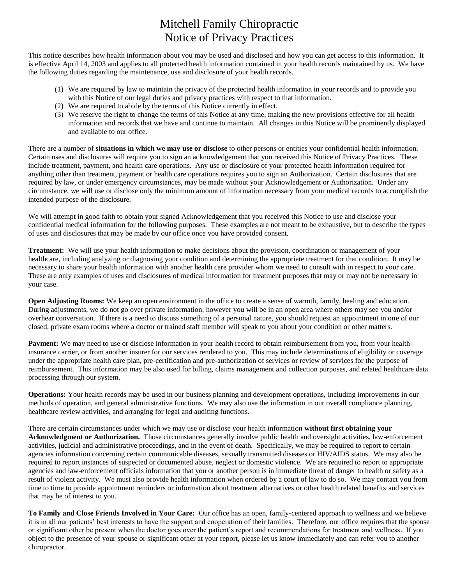## Mitchell Family Chiropractic Notice of Privacy Practices

This notice describes how health information about you may be used and disclosed and how you can get access to this information. It is effective April 14, 2003 and applies to all protected health information contained in your health records maintained by us. We have the following duties regarding the maintenance, use and disclosure of your health records.

- (1) We are required by law to maintain the privacy of the protected health information in your records and to provide you with this Notice of our legal duties and privacy practices with respect to that information.
- (2) We are required to abide by the terms of this Notice currently in effect.
- (3) We reserve the right to change the terms of this Notice at any time, making the new provisions effective for all health information and records that we have and continue to maintain. All changes in this Notice will be prominently displayed and available to our office.

There are a number of **situations in which we may use or disclose** to other persons or entities your confidential health information. Certain uses and disclosures will require you to sign an acknowledgement that you received this Notice of Privacy Practices. These include treatment, payment, and health care operations. Any use or disclosure of your protected health information required for anything other than treatment, payment or health care operations requires you to sign an Authorization. Certain disclosures that are required by law, or under emergency circumstances, may be made without your Acknowledgement or Authorization. Under any circumstance, we will use or disclose only the minimum amount of information necessary from your medical records to accomplish the intended purpose of the disclosure.

We will attempt in good faith to obtain your signed Acknowledgement that you received this Notice to use and disclose your confidential medical information for the following purposes. These examples are not meant to be exhaustive, but to describe the types of uses and disclosures that may be made by our office once you have provided consent.

**Treatment:** We will use your health information to make decisions about the provision, coordination or management of your healthcare, including analyzing or diagnosing your condition and determining the appropriate treatment for that condition. It may be necessary to share your health information with another health care provider whom we need to consult with in respect to your care. These are only examples of uses and disclosures of medical information for treatment purposes that may or may not be necessary in your case.

**Open Adjusting Rooms:** We keep an open environment in the office to create a sense of warmth, family, healing and education. During adjustments, we do not go over private information; however you will be in an open area where others may see you and/or overhear conversation. If there is a need to discuss something of a personal nature, you should request an appointment in one of our closed, private exam rooms where a doctor or trained staff member will speak to you about your condition or other matters.

Payment: We may need to use or disclose information in your health record to obtain reimbursement from you, from your healthinsurance carrier, or from another insurer for our services rendered to you. This may include determinations of eligibility or coverage under the appropriate health care plan, pre-certification and pre-authorization of services or review of services for the purpose of reimbursement. This information may be also used for billing, claims management and collection purposes, and related healthcare data processing through our system.

**Operations:** Your health records may be used in our business planning and development operations, including improvements in our methods of operation, and general administrative functions. We may also use the information in our overall compliance planning, healthcare review activities, and arranging for legal and auditing functions.

There are certain circumstances under which we may use or disclose your health information **without first obtaining your Acknowledgment or Authorization.** Those circumstances generally involve public health and oversight activities, law-enforcement activities, judicial and administrative proceedings, and in the event of death. Specifically, we may be required to report to certain agencies information concerning certain communicable diseases, sexually transmitted diseases or HIV/AIDS status. We may also be required to report instances of suspected or documented abuse, neglect or domestic violence. We are required to report to appropriate agencies and law-enforcement officials information that you or another person is in immediate threat of danger to health or safety as a result of violent activity. We must also provide health information when ordered by a court of law to do so. We may contact you from time to time to provide appointment reminders or information about treatment alternatives or other health related benefits and services that may be of interest to you.

**To Family and Close Friends Involved in Your Care:** Our office has an open, family-centered approach to wellness and we believe it is in all our patients' best interests to have the support and cooperation of their families. Therefore, our office requires that the spouse or significant other be present when the doctor goes over the patient's report and recommendations for treatment and wellness. If you object to the presence of your spouse or significant other at your report, please let us know immediately and can refer you to another chiropractor.